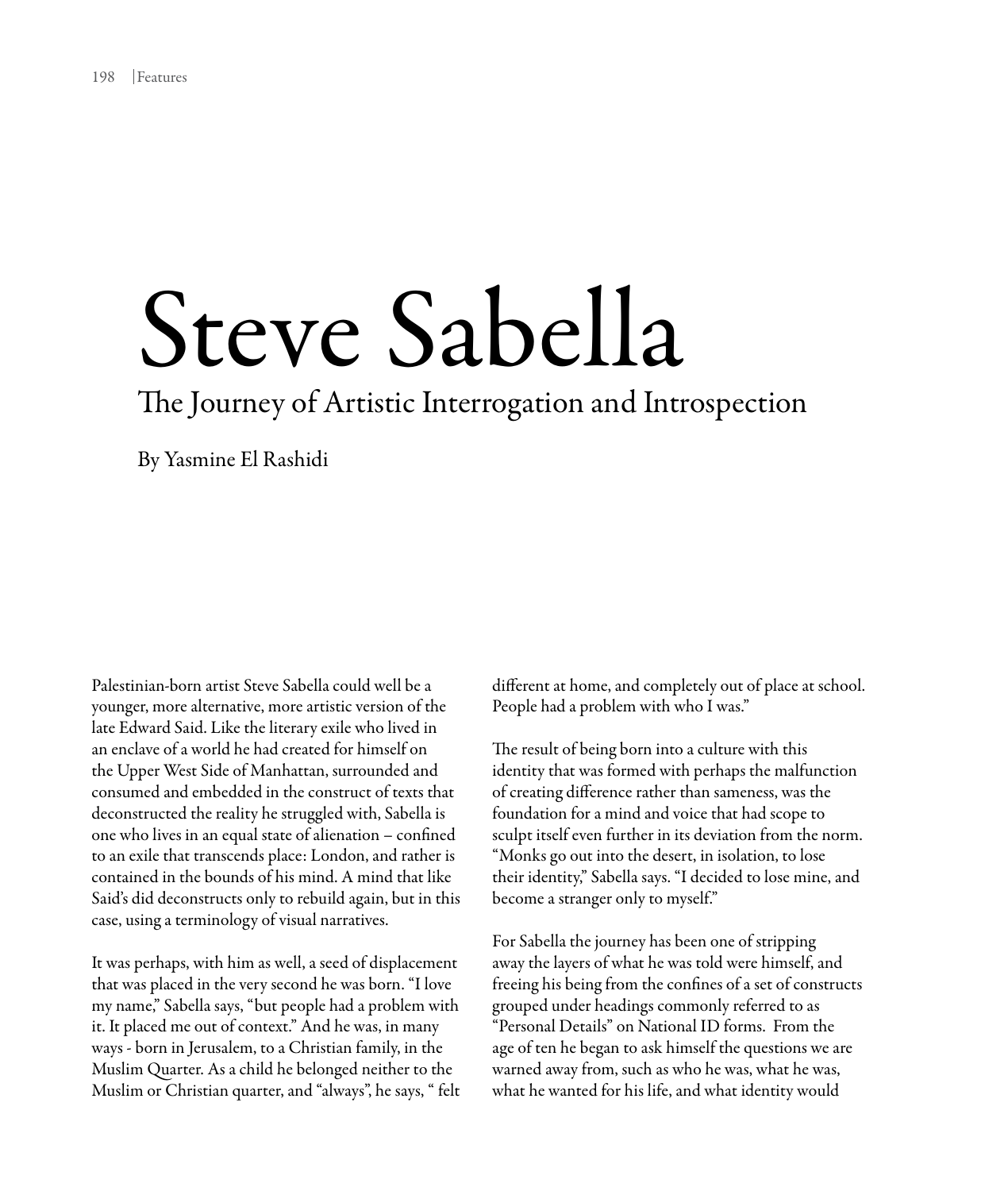## Steve Sabella

## The Journey of Artistic Interrogation and Introspection

By Yasmine El Rashidi

Palestinian-born artist Steve Sabella could well be a younger, more alternative, more artistic version of the late Edward Said. Like the literary exile who lived in an enclave of a world he had created for himself on the Upper West Side of Manhattan, surrounded and consumed and embedded in the construct of texts that deconstructed the reality he struggled with, Sabella is one who lives in an equal state of alienation – confined to an exile that transcends place: London, and rather is contained in the bounds of his mind. A mind that like Said's did deconstructs only to rebuild again, but in this case, using a terminology of visual narratives.

It was perhaps, with him as well, a seed of displacement that was placed in the very second he was born. "I love my name," Sabella says, "but people had a problem with it. It placed me out of context." And he was, in many ways - born in Jerusalem, to a Christian family, in the Muslim Quarter. As a child he belonged neither to the Muslim or Christian quarter, and "always", he says, " felt different at home, and completely out of place at school. People had a problem with who I was."

The result of being born into a culture with this identity that was formed with perhaps the malfunction of creating difference rather than sameness, was the foundation for a mind and voice that had scope to sculpt itself even further in its deviation from the norm. "Monks go out into the desert, in isolation, to lose their identity," Sabella says. "I decided to lose mine, and become a stranger only to myself."

For Sabella the journey has been one of stripping away the layers of what he was told were himself, and freeing his being from the confines of a set of constructs grouped under headings commonly referred to as "Personal Details" on National ID forms. From the age of ten he began to ask himself the questions we are warned away from, such as who he was, what he was, what he wanted for his life, and what identity would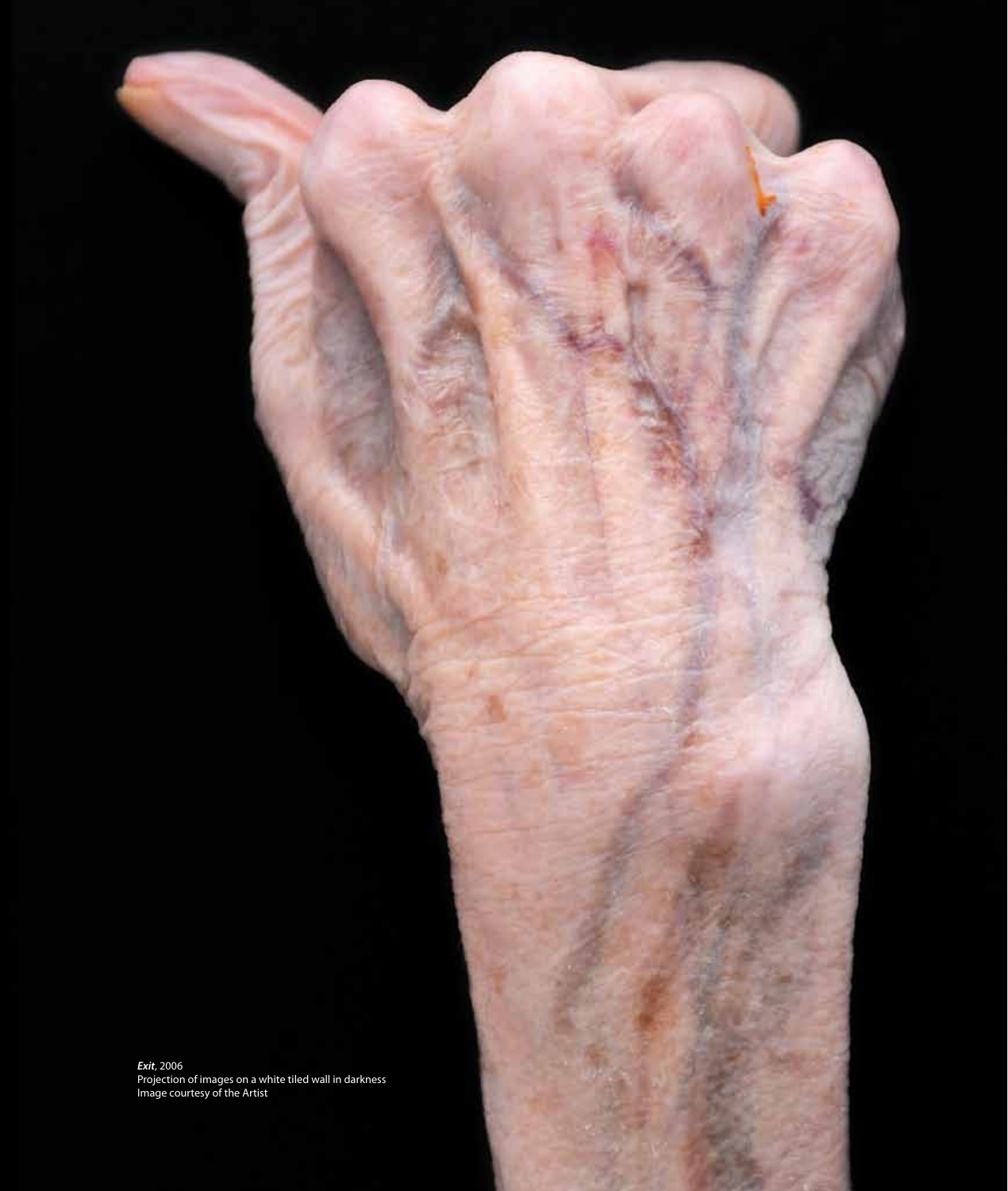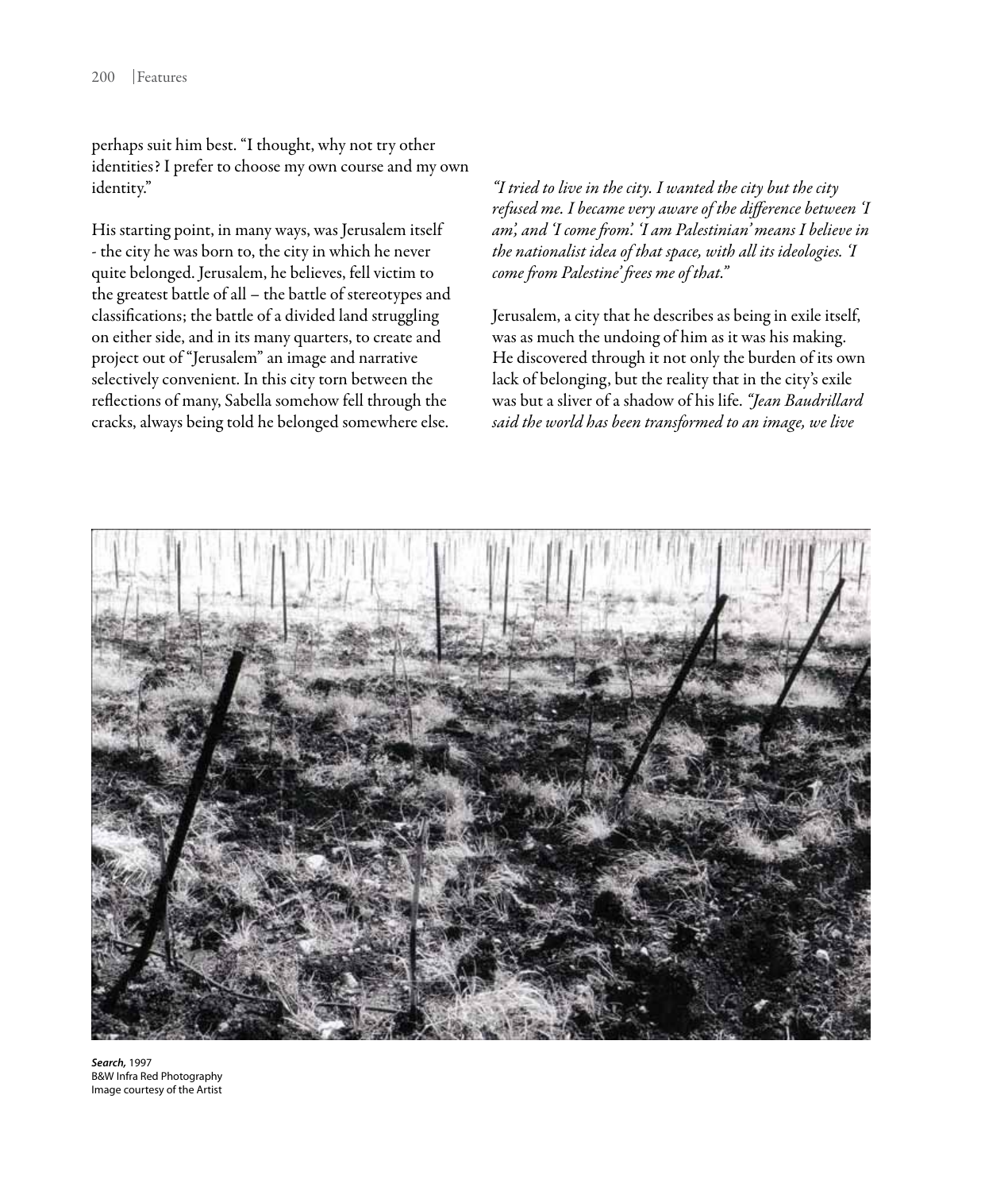perhaps suit him best. "I thought, why not try other identities? I prefer to choose my own course and my own identity."

His starting point, in many ways, was Jerusalem itself - the city he was born to, the city in which he never quite belonged. Jerusalem, he believes, fell victim to the greatest battle of all – the battle of stereotypes and classifications; the battle of a divided land struggling on either side, and in its many quarters, to create and project out of "Jerusalem" an image and narrative selectively convenient. In this city torn between the reflections of many, Sabella somehow fell through the cracks, always being told he belonged somewhere else.

*"I tried to live in the city. I wanted the city but the city refused me. I became very aware of the difference between 'I am', and 'I come from'. 'I am Palestinian' means I believe in the nationalist idea of that space, with all its ideologies. 'I come from Palestine' frees me of that."* 

Jerusalem, a city that he describes as being in exile itself, was as much the undoing of him as it was his making. He discovered through it not only the burden of its own lack of belonging, but the reality that in the city's exile was but a sliver of a shadow of his life. *"Jean Baudrillard said the world has been transformed to an image, we live* 



*Search,* 1997 B&W Infra Red Photography Image courtesy of the Artist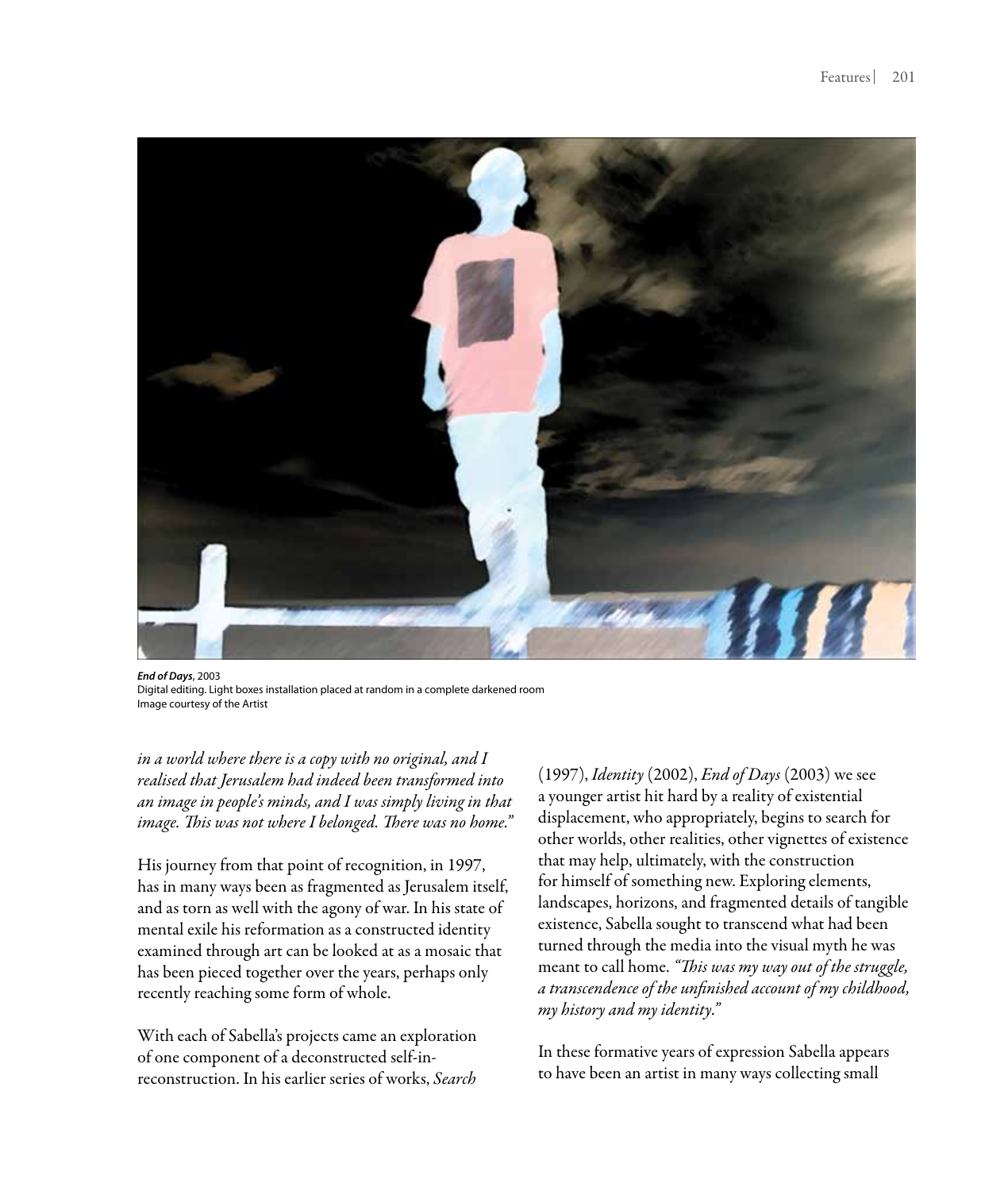

*End of Days*, 2003 Digital editing. Light boxes installation placed at random in a complete darkened room Image courtesy of the Artist

*in a world where there is a copy with no original, and I realised that Jerusalem had indeed been transformed into an image in people's minds, and I was simply living in that image. This was not where I belonged. There was no home."*

His journey from that point of recognition, in 1997, has in many ways been as fragmented as Jerusalem itself, and as torn as well with the agony of war. In his state of mental exile his reformation as a constructed identity examined through art can be looked at as a mosaic that has been pieced together over the years, perhaps only recently reaching some form of whole.

With each of Sabella's projects came an exploration of one component of a deconstructed self-inreconstruction. In his earlier series of works, *Search*

(1997), *Identity* (2002), *End of Days* (2003) we see a younger artist hit hard by a reality of existential displacement, who appropriately, begins to search for other worlds, other realities, other vignettes of existence that may help, ultimately, with the construction for himself of something new. Exploring elements, landscapes, horizons, and fragmented details of tangible existence, Sabella sought to transcend what had been turned through the media into the visual myth he was meant to call home. *"This was my way out of the struggle, a transcendence of the unfinished account of my childhood, my history and my identity."* 

In these formative years of expression Sabella appears to have been an artist in many ways collecting small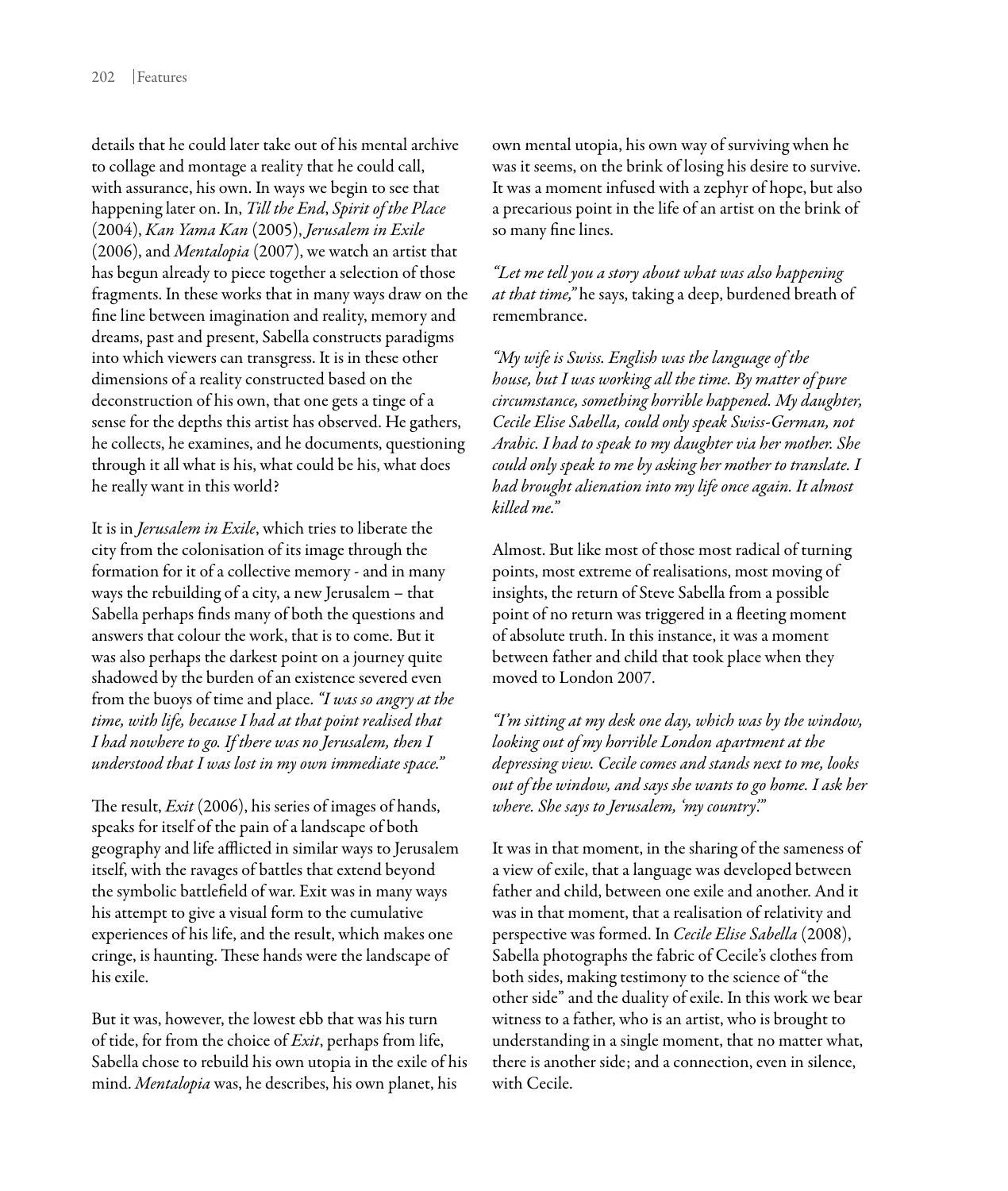details that he could later take out of his mental archive to collage and montage a reality that he could call, with assurance, his own. In ways we begin to see that happening later on. In, *Till the End*, *Spirit of the Place*  (2004), *Kan Yama Kan* (2005), *Jerusalem in Exile*  (2006), and *Mentalopia* (2007), we watch an artist that has begun already to piece together a selection of those fragments. In these works that in many ways draw on the fine line between imagination and reality, memory and dreams, past and present, Sabella constructs paradigms into which viewers can transgress. It is in these other dimensions of a reality constructed based on the deconstruction of his own, that one gets a tinge of a sense for the depths this artist has observed. He gathers, he collects, he examines, and he documents, questioning through it all what is his, what could be his, what does he really want in this world?

It is in *Jerusalem in Exile*, which tries to liberate the city from the colonisation of its image through the formation for it of a collective memory - and in many ways the rebuilding of a city, a new Jerusalem – that Sabella perhaps finds many of both the questions and answers that colour the work, that is to come. But it was also perhaps the darkest point on a journey quite shadowed by the burden of an existence severed even from the buoys of time and place. *"I was so angry at the time, with life, because I had at that point realised that I had nowhere to go. If there was no Jerusalem, then I understood that I was lost in my own immediate space."*

The result, *Exit* (2006), his series of images of hands, speaks for itself of the pain of a landscape of both geography and life afflicted in similar ways to Jerusalem itself, with the ravages of battles that extend beyond the symbolic battlefield of war. Exit was in many ways his attempt to give a visual form to the cumulative experiences of his life, and the result, which makes one cringe, is haunting. These hands were the landscape of his exile.

But it was, however, the lowest ebb that was his turn of tide, for from the choice of *Exit*, perhaps from life, Sabella chose to rebuild his own utopia in the exile of his mind. *Mentalopia* was, he describes, his own planet, his

own mental utopia, his own way of surviving when he was it seems, on the brink of losing his desire to survive. It was a moment infused with a zephyr of hope, but also a precarious point in the life of an artist on the brink of so many fine lines.

*"Let me tell you a story about what was also happening at that time,"* he says, taking a deep, burdened breath of remembrance.

*"My wife is Swiss. English was the language of the house, but I was working all the time. By matter of pure circumstance, something horrible happened. My daughter, Cecile Elise Sabella, could only speak Swiss-German, not Arabic. I had to speak to my daughter via her mother. She could only speak to me by asking her mother to translate. I had brought alienation into my life once again. It almost killed me."*

Almost. But like most of those most radical of turning points, most extreme of realisations, most moving of insights, the return of Steve Sabella from a possible point of no return was triggered in a fleeting moment of absolute truth. In this instance, it was a moment between father and child that took place when they moved to London 2007.

*"I'm sitting at my desk one day, which was by the window, looking out of my horrible London apartment at the depressing view. Cecile comes and stands next to me, looks out of the window, and says she wants to go home. I ask her where. She says to Jerusalem, 'my country'."*

It was in that moment, in the sharing of the sameness of a view of exile, that a language was developed between father and child, between one exile and another. And it was in that moment, that a realisation of relativity and perspective was formed. In *Cecile Elise Sabella* (2008), Sabella photographs the fabric of Cecile's clothes from both sides, making testimony to the science of "the other side" and the duality of exile. In this work we bear witness to a father, who is an artist, who is brought to understanding in a single moment, that no matter what, there is another side; and a connection, even in silence, with Cecile.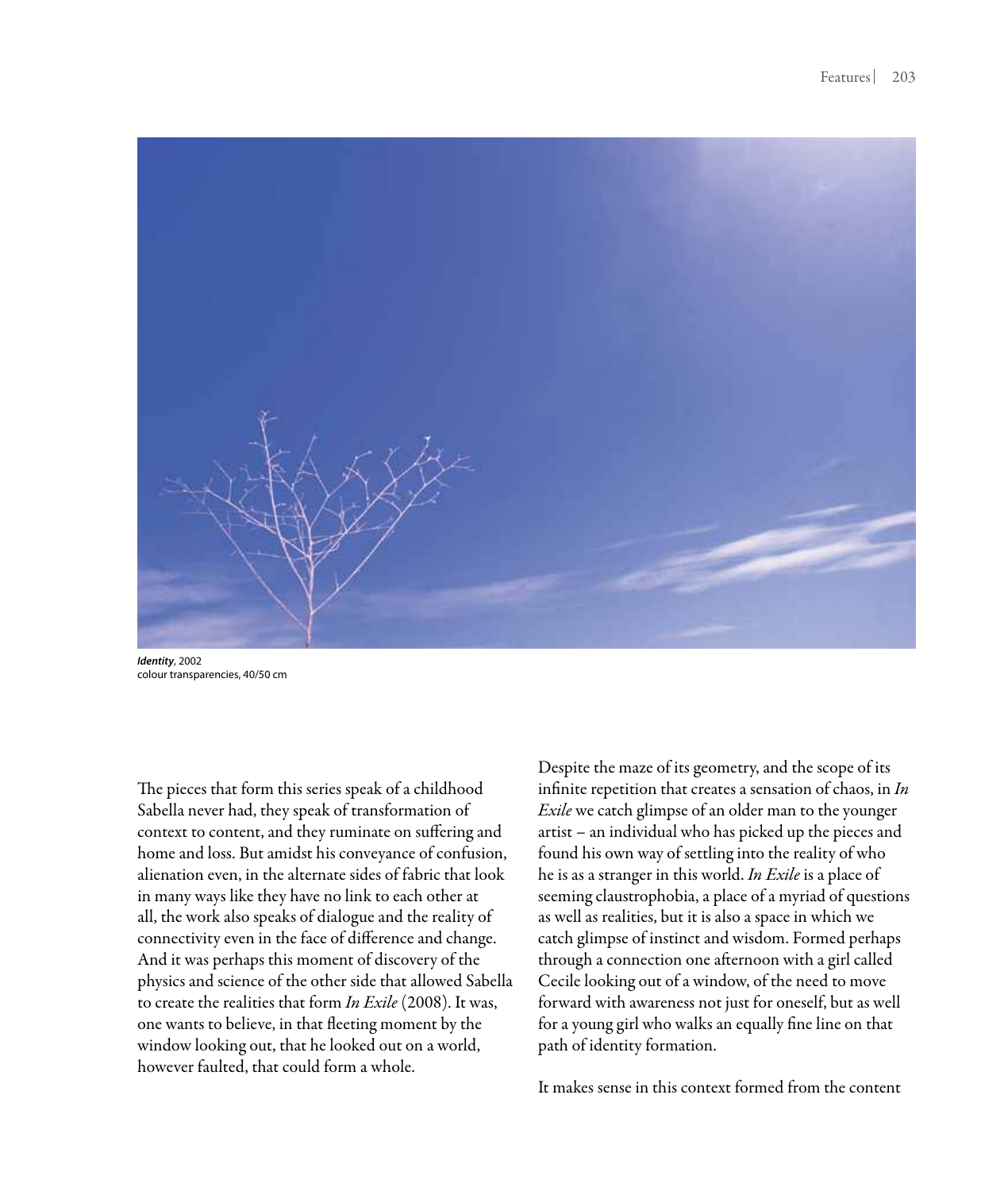

*Identity*, 2002 colour transparencies, 40/50 cm

The pieces that form this series speak of a childhood Sabella never had, they speak of transformation of context to content, and they ruminate on suffering and home and loss. But amidst his conveyance of confusion, alienation even, in the alternate sides of fabric that look in many ways like they have no link to each other at all, the work also speaks of dialogue and the reality of connectivity even in the face of difference and change. And it was perhaps this moment of discovery of the physics and science of the other side that allowed Sabella to create the realities that form *In Exile* (2008). It was, one wants to believe, in that fleeting moment by the window looking out, that he looked out on a world, however faulted, that could form a whole.

Despite the maze of its geometry, and the scope of its infinite repetition that creates a sensation of chaos, in *In Exile* we catch glimpse of an older man to the younger artist – an individual who has picked up the pieces and found his own way of settling into the reality of who he is as a stranger in this world. *In Exile* is a place of seeming claustrophobia, a place of a myriad of questions as well as realities, but it is also a space in which we catch glimpse of instinct and wisdom. Formed perhaps through a connection one afternoon with a girl called Cecile looking out of a window, of the need to move forward with awareness not just for oneself, but as well for a young girl who walks an equally fine line on that path of identity formation.

It makes sense in this context formed from the content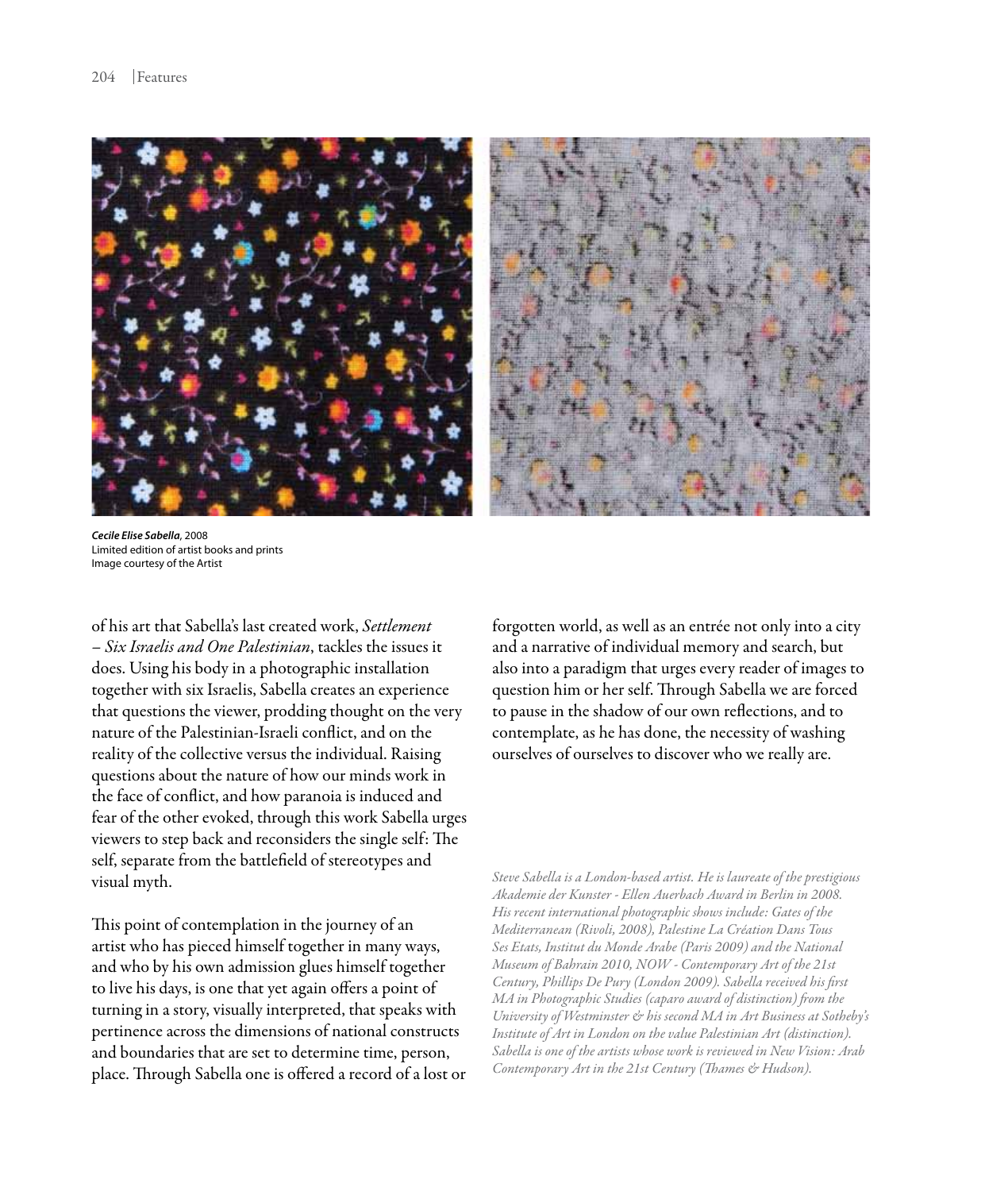

*Cecile Elise Sabella*, 2008 Limited edition of artist books and prints Image courtesy of the Artist

of his art that Sabella's last created work, *Settlement – Six Israelis and One Palestinian*, tackles the issues it does. Using his body in a photographic installation together with six Israelis, Sabella creates an experience that questions the viewer, prodding thought on the very nature of the Palestinian-Israeli conflict, and on the reality of the collective versus the individual. Raising questions about the nature of how our minds work in the face of conflict, and how paranoia is induced and fear of the other evoked, through this work Sabella urges viewers to step back and reconsiders the single self: The self, separate from the battlefield of stereotypes and visual myth.

This point of contemplation in the journey of an artist who has pieced himself together in many ways, and who by his own admission glues himself together to live his days, is one that yet again offers a point of turning in a story, visually interpreted, that speaks with pertinence across the dimensions of national constructs and boundaries that are set to determine time, person, place. Through Sabella one is offered a record of a lost or

forgotten world, as well as an entrée not only into a city and a narrative of individual memory and search, but also into a paradigm that urges every reader of images to question him or her self. Through Sabella we are forced to pause in the shadow of our own reflections, and to contemplate, as he has done, the necessity of washing ourselves of ourselves to discover who we really are.

*Steve Sabella is a London-based artist. He is laureate of the prestigious Akademie der Kunster - Ellen Auerbach Award in Berlin in 2008. His recent international photographic shows include: Gates of the Mediterranean (Rivoli, 2008), Palestine La Création Dans Tous Ses Etats, Institut du Monde Arabe (Paris 2009) and the National Museum of Bahrain 2010, NOW - Contemporary Art of the 21st Century, Phillips De Pury (London 2009). Sabella received his first MA in Photographic Studies (caparo award of distinction) from the University of Westminster & his second MA in Art Business at Sotheby's Institute of Art in London on the value Palestinian Art (distinction). Sabella is one of the artists whose work is reviewed in New Vision: Arab Contemporary Art in the 21st Century (Thames & Hudson).*